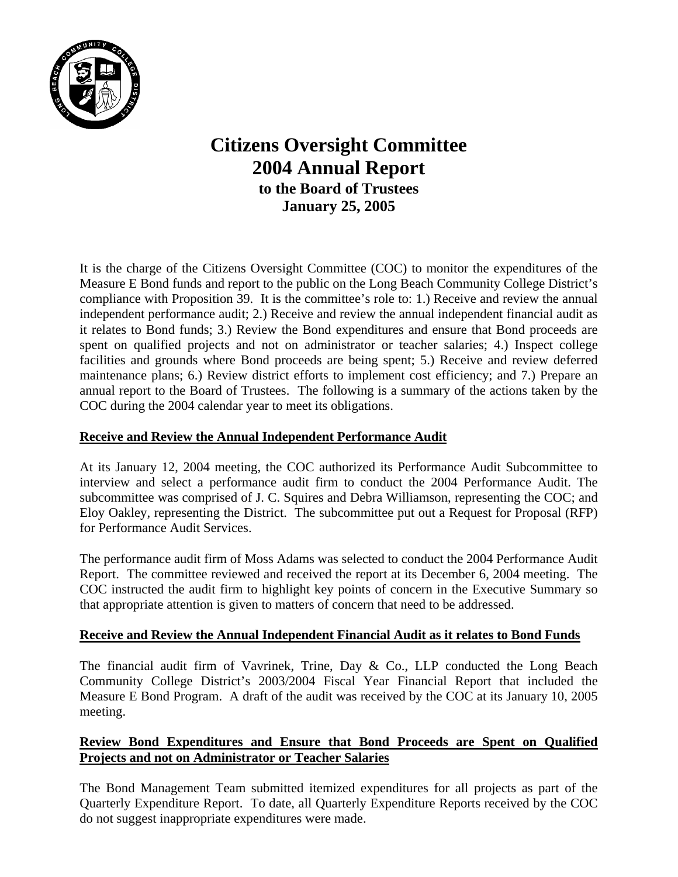

# **Citizens Oversight Committee 2004 Annual Report to the Board of Trustees January 25, 2005**

It is the charge of the Citizens Oversight Committee (COC) to monitor the expenditures of the Measure E Bond funds and report to the public on the Long Beach Community College District's compliance with Proposition 39. It is the committee's role to: 1.) Receive and review the annual independent performance audit; 2.) Receive and review the annual independent financial audit as it relates to Bond funds; 3.) Review the Bond expenditures and ensure that Bond proceeds are spent on qualified projects and not on administrator or teacher salaries; 4.) Inspect college facilities and grounds where Bond proceeds are being spent; 5.) Receive and review deferred maintenance plans; 6.) Review district efforts to implement cost efficiency; and 7.) Prepare an annual report to the Board of Trustees. The following is a summary of the actions taken by the COC during the 2004 calendar year to meet its obligations.

# **Receive and Review the Annual Independent Performance Audit**

At its January 12, 2004 meeting, the COC authorized its Performance Audit Subcommittee to interview and select a performance audit firm to conduct the 2004 Performance Audit. The subcommittee was comprised of J. C. Squires and Debra Williamson, representing the COC; and Eloy Oakley, representing the District. The subcommittee put out a Request for Proposal (RFP) for Performance Audit Services.

The performance audit firm of Moss Adams was selected to conduct the 2004 Performance Audit Report. The committee reviewed and received the report at its December 6, 2004 meeting. The COC instructed the audit firm to highlight key points of concern in the Executive Summary so that appropriate attention is given to matters of concern that need to be addressed.

## **Receive and Review the Annual Independent Financial Audit as it relates to Bond Funds**

The financial audit firm of Vavrinek, Trine, Day & Co., LLP conducted the Long Beach Community College District's 2003/2004 Fiscal Year Financial Report that included the Measure E Bond Program. A draft of the audit was received by the COC at its January 10, 2005 meeting.

# **Review Bond Expenditures and Ensure that Bond Proceeds are Spent on Qualified Projects and not on Administrator or Teacher Salaries**

The Bond Management Team submitted itemized expenditures for all projects as part of the Quarterly Expenditure Report. To date, all Quarterly Expenditure Reports received by the COC do not suggest inappropriate expenditures were made.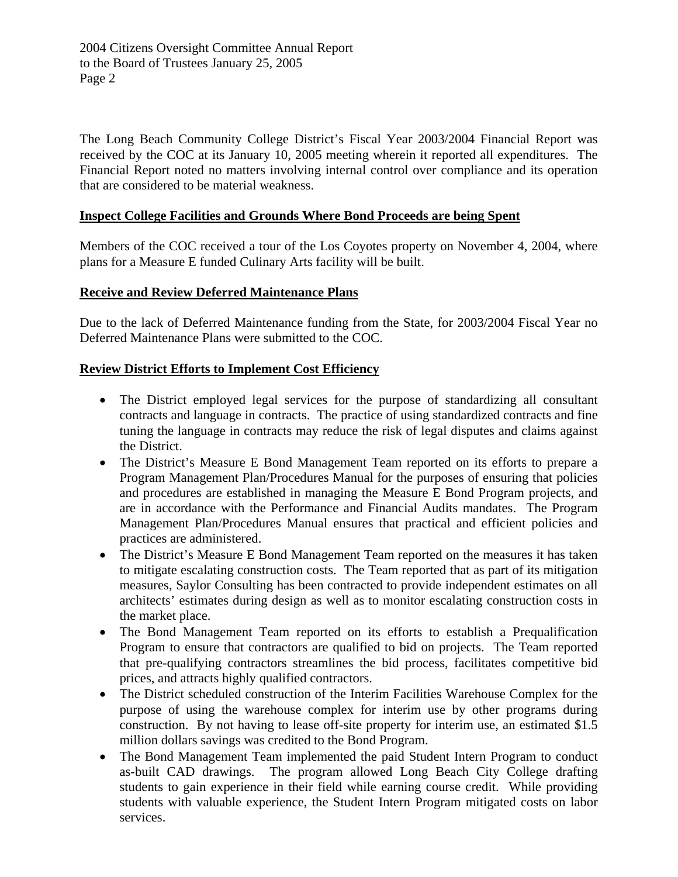The Long Beach Community College District's Fiscal Year 2003/2004 Financial Report was received by the COC at its January 10, 2005 meeting wherein it reported all expenditures. The Financial Report noted no matters involving internal control over compliance and its operation that are considered to be material weakness.

### **Inspect College Facilities and Grounds Where Bond Proceeds are being Spent**

Members of the COC received a tour of the Los Coyotes property on November 4, 2004, where plans for a Measure E funded Culinary Arts facility will be built.

#### **Receive and Review Deferred Maintenance Plans**

Due to the lack of Deferred Maintenance funding from the State, for 2003/2004 Fiscal Year no Deferred Maintenance Plans were submitted to the COC.

### **Review District Efforts to Implement Cost Efficiency**

- The District employed legal services for the purpose of standardizing all consultant contracts and language in contracts. The practice of using standardized contracts and fine tuning the language in contracts may reduce the risk of legal disputes and claims against the District.
- The District's Measure E Bond Management Team reported on its efforts to prepare a Program Management Plan/Procedures Manual for the purposes of ensuring that policies and procedures are established in managing the Measure E Bond Program projects, and are in accordance with the Performance and Financial Audits mandates. The Program Management Plan/Procedures Manual ensures that practical and efficient policies and practices are administered.
- The District's Measure E Bond Management Team reported on the measures it has taken to mitigate escalating construction costs. The Team reported that as part of its mitigation measures, Saylor Consulting has been contracted to provide independent estimates on all architects' estimates during design as well as to monitor escalating construction costs in the market place.
- The Bond Management Team reported on its efforts to establish a Prequalification Program to ensure that contractors are qualified to bid on projects. The Team reported that pre-qualifying contractors streamlines the bid process, facilitates competitive bid prices, and attracts highly qualified contractors.
- The District scheduled construction of the Interim Facilities Warehouse Complex for the purpose of using the warehouse complex for interim use by other programs during construction. By not having to lease off-site property for interim use, an estimated \$1.5 million dollars savings was credited to the Bond Program.
- The Bond Management Team implemented the paid Student Intern Program to conduct as-built CAD drawings. The program allowed Long Beach City College drafting students to gain experience in their field while earning course credit. While providing students with valuable experience, the Student Intern Program mitigated costs on labor services.